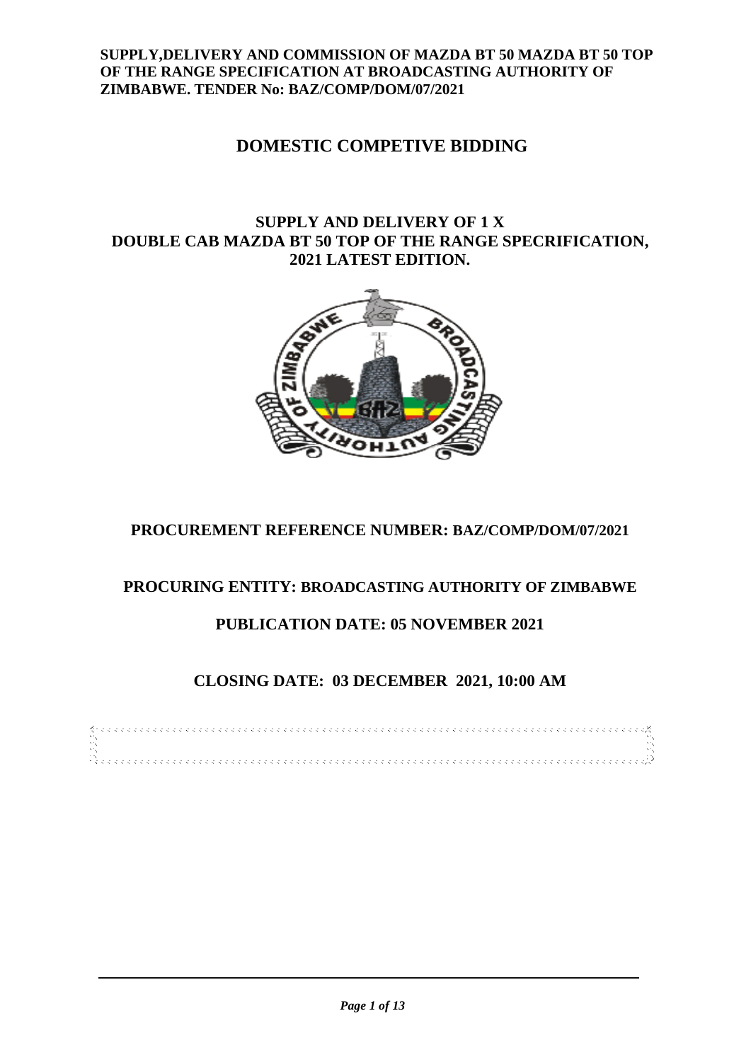## **SUPPLY,DELIVERY AND COMMISSION OF MAZDA BT 50 MAZDA BT 50 TOP OF THE RANGE SPECIFICATION AT BROADCASTING AUTHORITY OF ZIMBABWE. TENDER No: BAZ/COMP/DOM/07/2021**

# **DOMESTIC COMPETIVE BIDDING**

# **SUPPLY AND DELIVERY OF 1 X DOUBLE CAB MAZDA BT 50 TOP OF THE RANGE SPECRIFICATION, 2021 LATEST EDITION.**



# **PROCUREMENT REFERENCE NUMBER: BAZ/COMP/DOM/07/2021**

# **PROCURING ENTITY: BROADCASTING AUTHORITY OF ZIMBABWE**

# **PUBLICATION DATE: 05 NOVEMBER 2021**

# **CLOSING DATE: 03 DECEMBER 2021, 10:00 AM**

|  |  |  |  |  |  |  |  |  |  |  |  |  |  |  |  |  |  |  |  |  |  |  |  |  |  |  |  |  |  |  |  | . For a construction of a construction of the construction of the construction of $\beta$ |  |  |  |  |  |  |
|--|--|--|--|--|--|--|--|--|--|--|--|--|--|--|--|--|--|--|--|--|--|--|--|--|--|--|--|--|--|--|--|-------------------------------------------------------------------------------------------|--|--|--|--|--|--|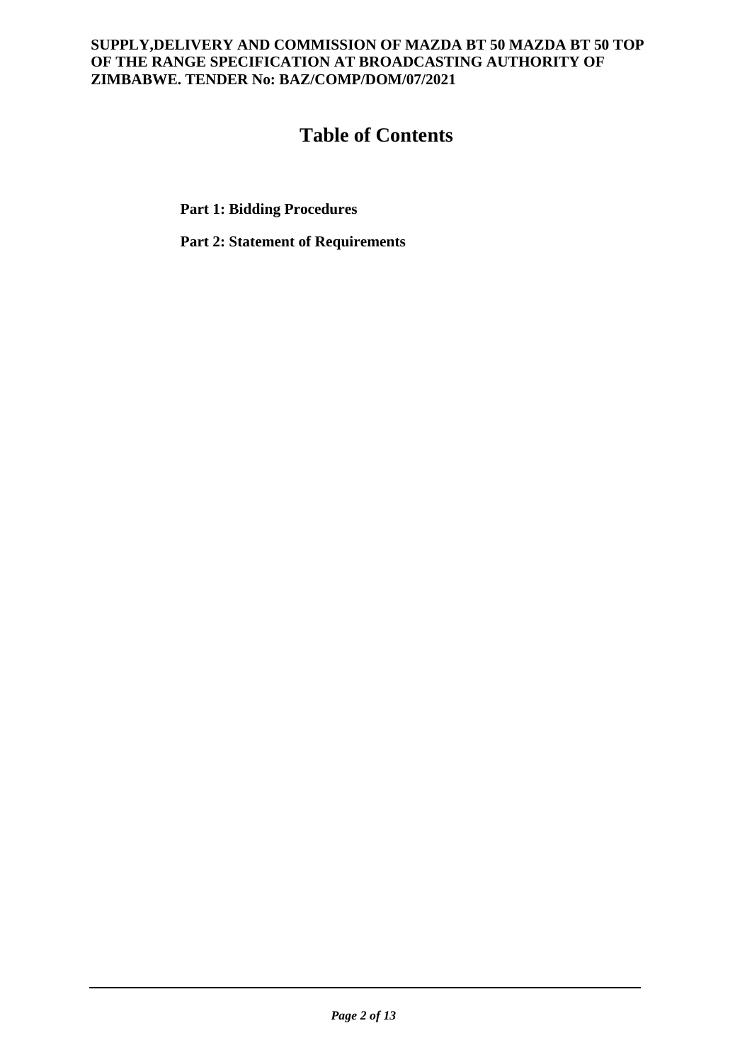## **SUPPLY,DELIVERY AND COMMISSION OF MAZDA BT 50 MAZDA BT 50 TOP OF THE RANGE SPECIFICATION AT BROADCASTING AUTHORITY OF ZIMBABWE. TENDER No: BAZ/COMP/DOM/07/2021**

# **Table of Contents**

**Part 1: Bidding Procedures**

**Part 2: Statement of Requirements**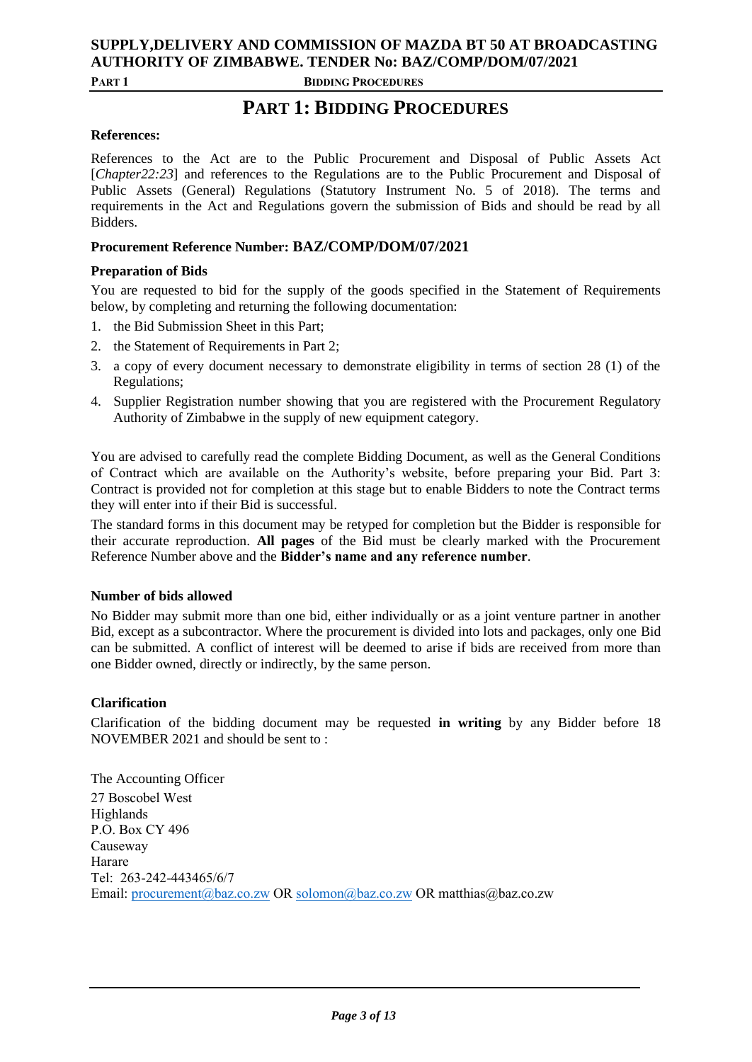# **SUPPLY,DELIVERY AND COMMISSION OF MAZDA BT 50 AT BROADCASTING AUTHORITY OF ZIMBABWE. TENDER No: BAZ/COMP/DOM/07/2021**

**PART 1 BIDDING PROCEDURES**

# **PART 1: BIDDING PROCEDURES**

### **References:**

References to the Act are to the Public Procurement and Disposal of Public Assets Act [*Chapter22:23*] and references to the Regulations are to the Public Procurement and Disposal of Public Assets (General) Regulations (Statutory Instrument No. 5 of 2018). The terms and requirements in the Act and Regulations govern the submission of Bids and should be read by all Bidders.

### **Procurement Reference Number: BAZ/COMP/DOM/07/2021**

### **Preparation of Bids**

You are requested to bid for the supply of the goods specified in the Statement of Requirements below, by completing and returning the following documentation:

- 1. the Bid Submission Sheet in this Part;
- 2. the Statement of Requirements in Part 2;
- 3. a copy of every document necessary to demonstrate eligibility in terms of section 28 (1) of the Regulations;
- 4. Supplier Registration number showing that you are registered with the Procurement Regulatory Authority of Zimbabwe in the supply of new equipment category.

You are advised to carefully read the complete Bidding Document, as well as the General Conditions of Contract which are available on the Authority's website, before preparing your Bid. Part 3: Contract is provided not for completion at this stage but to enable Bidders to note the Contract terms they will enter into if their Bid is successful.

The standard forms in this document may be retyped for completion but the Bidder is responsible for their accurate reproduction. **All pages** of the Bid must be clearly marked with the Procurement Reference Number above and the **Bidder's name and any reference number**.

### **Number of bids allowed**

No Bidder may submit more than one bid, either individually or as a joint venture partner in another Bid, except as a subcontractor. Where the procurement is divided into lots and packages, only one Bid can be submitted. A conflict of interest will be deemed to arise if bids are received from more than one Bidder owned, directly or indirectly, by the same person.

### **Clarification**

Clarification of the bidding document may be requested **in writing** by any Bidder before 18 NOVEMBER 2021 and should be sent to :

The Accounting Officer 27 Boscobel West Highlands P.O. Box CY 496 Causeway Harare Tel: 263-242-443465/6/7 Email: [procurement@baz.co.zw](mailto:procurement@baz.co.zw) OR [solomon@baz.co.zw](mailto:solomon@baz.co.zw) OR matthias@baz.co.zw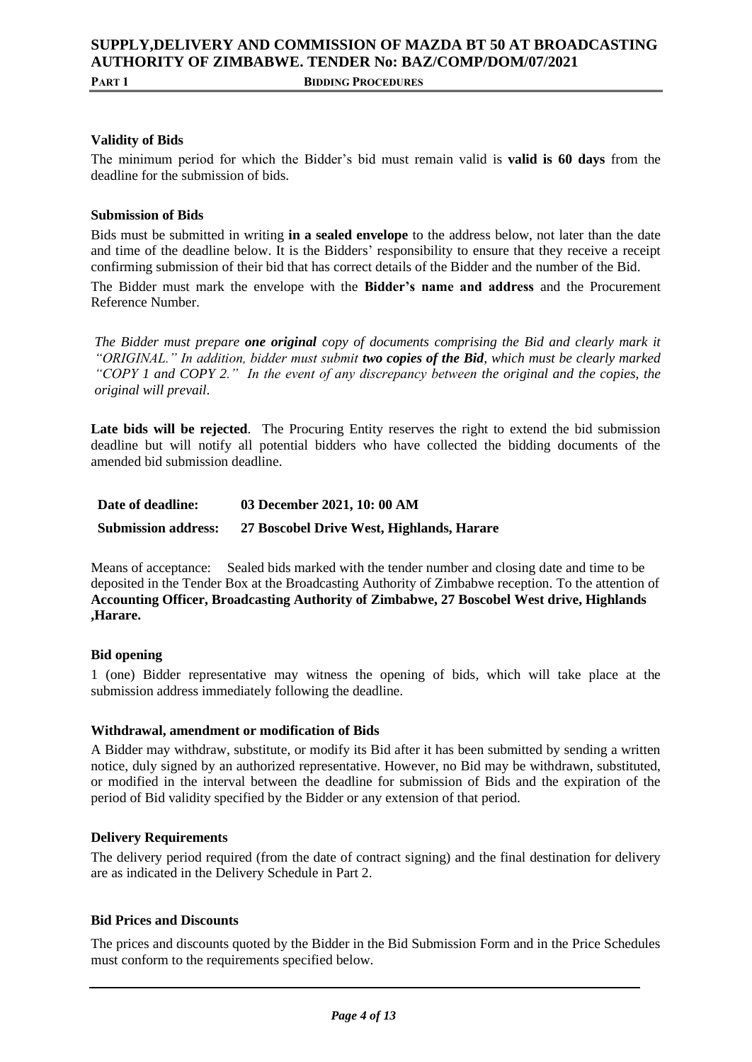### **SUPPLY,DELIVERY AND COMMISSION OF MAZDA BT 50 AT BROADCASTING AUTHORITY OF ZIMBABWE. TENDER No: BAZ/COMP/DOM/07/2021 PART 1 BIDDING PROCEDURES**

**Validity of Bids**

The minimum period for which the Bidder's bid must remain valid is **valid is 60 days** from the deadline for the submission of bids.

### **Submission of Bids**

Bids must be submitted in writing **in a sealed envelope** to the address below, not later than the date and time of the deadline below. It is the Bidders' responsibility to ensure that they receive a receipt confirming submission of their bid that has correct details of the Bidder and the number of the Bid.

The Bidder must mark the envelope with the **Bidder's name and address** and the Procurement Reference Number.

*The Bidder must prepare one original copy of documents comprising the Bid and clearly mark it "ORIGINAL." In addition, bidder must submit two copies of the Bid, which must be clearly marked "COPY 1 and COPY 2." In the event of any discrepancy between the original and the copies, the original will prevail*.

Late bids will be rejected. The Procuring Entity reserves the right to extend the bid submission deadline but will notify all potential bidders who have collected the bidding documents of the amended bid submission deadline.

| Date of deadline:          | 03 December 2021, 10: 00 AM               |
|----------------------------|-------------------------------------------|
| <b>Submission address:</b> | 27 Boscobel Drive West, Highlands, Harare |

Means of acceptance: Sealed bids marked with the tender number and closing date and time to be deposited in the Tender Box at the Broadcasting Authority of Zimbabwe reception. To the attention of **Accounting Officer, Broadcasting Authority of Zimbabwe, 27 Boscobel West drive, Highlands ,Harare.**

### **Bid opening**

1 (one) Bidder representative may witness the opening of bids, which will take place at the submission address immediately following the deadline.

### **Withdrawal, amendment or modification of Bids**

A Bidder may withdraw, substitute, or modify its Bid after it has been submitted by sending a written notice, duly signed by an authorized representative. However, no Bid may be withdrawn, substituted, or modified in the interval between the deadline for submission of Bids and the expiration of the period of Bid validity specified by the Bidder or any extension of that period.

### **Delivery Requirements**

The delivery period required (from the date of contract signing) and the final destination for delivery are as indicated in the Delivery Schedule in Part 2.

#### **Bid Prices and Discounts**

The prices and discounts quoted by the Bidder in the Bid Submission Form and in the Price Schedules must conform to the requirements specified below.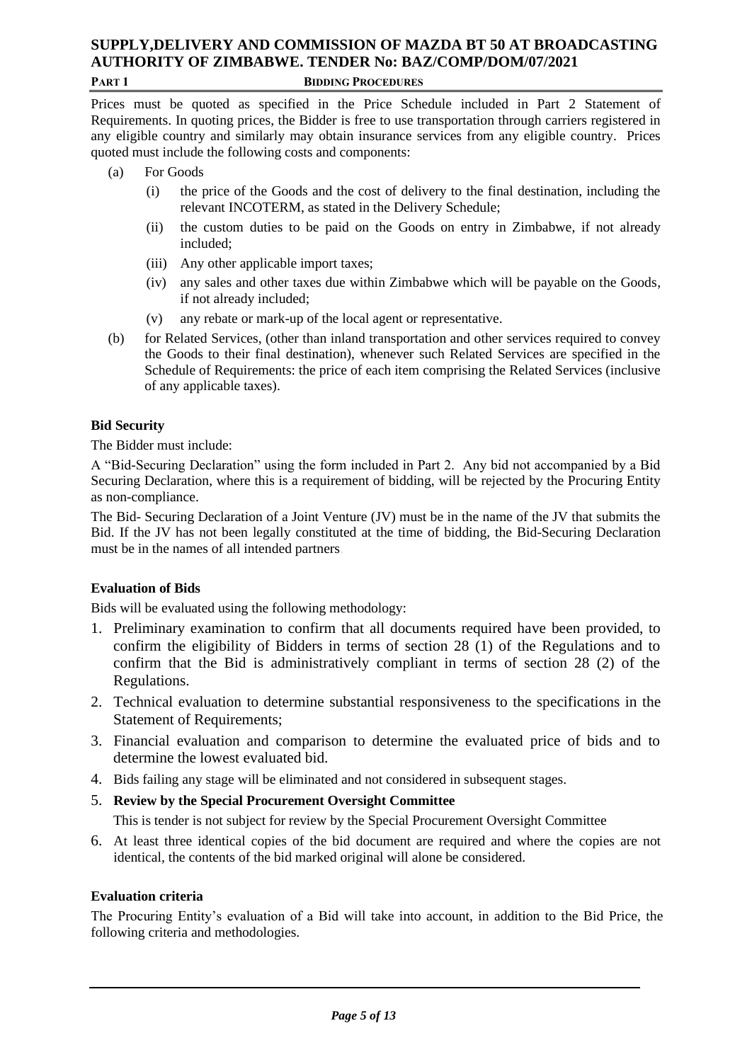### **SUPPLY,DELIVERY AND COMMISSION OF MAZDA BT 50 AT BROADCASTING AUTHORITY OF ZIMBABWE. TENDER No: BAZ/COMP/DOM/07/2021 PART 1 BIDDING PROCEDURES**

Prices must be quoted as specified in the Price Schedule included in Part 2 Statement of Requirements. In quoting prices, the Bidder is free to use transportation through carriers registered in any eligible country and similarly may obtain insurance services from any eligible country. Prices quoted must include the following costs and components:

- (a) For Goods
	- (i) the price of the Goods and the cost of delivery to the final destination, including the relevant INCOTERM, as stated in the Delivery Schedule;
	- (ii) the custom duties to be paid on the Goods on entry in Zimbabwe, if not already included;
	- (iii) Any other applicable import taxes;
	- (iv) any sales and other taxes due within Zimbabwe which will be payable on the Goods, if not already included;
	- (v) any rebate or mark-up of the local agent or representative.
- (b) for Related Services, (other than inland transportation and other services required to convey the Goods to their final destination), whenever such Related Services are specified in the Schedule of Requirements: the price of each item comprising the Related Services (inclusive of any applicable taxes).

### **Bid Security**

The Bidder must include:

A "Bid-Securing Declaration" using the form included in Part 2. Any bid not accompanied by a Bid Securing Declaration, where this is a requirement of bidding, will be rejected by the Procuring Entity as non-compliance.

The Bid- Securing Declaration of a Joint Venture (JV) must be in the name of the JV that submits the Bid. If the JV has not been legally constituted at the time of bidding, the Bid-Securing Declaration must be in the names of all intended partners.

### **Evaluation of Bids**

Bids will be evaluated using the following methodology:

- 1. Preliminary examination to confirm that all documents required have been provided, to confirm the eligibility of Bidders in terms of section 28 (1) of the Regulations and to confirm that the Bid is administratively compliant in terms of section 28 (2) of the Regulations.
- 2. Technical evaluation to determine substantial responsiveness to the specifications in the Statement of Requirements;
- 3. Financial evaluation and comparison to determine the evaluated price of bids and to determine the lowest evaluated bid.
- 4. Bids failing any stage will be eliminated and not considered in subsequent stages.
- 5. **Review by the Special Procurement Oversight Committee**

This is tender is not subject for review by the Special Procurement Oversight Committee

6. At least three identical copies of the bid document are required and where the copies are not identical, the contents of the bid marked original will alone be considered.

## **Evaluation criteria**

The Procuring Entity's evaluation of a Bid will take into account, in addition to the Bid Price, the following criteria and methodologies.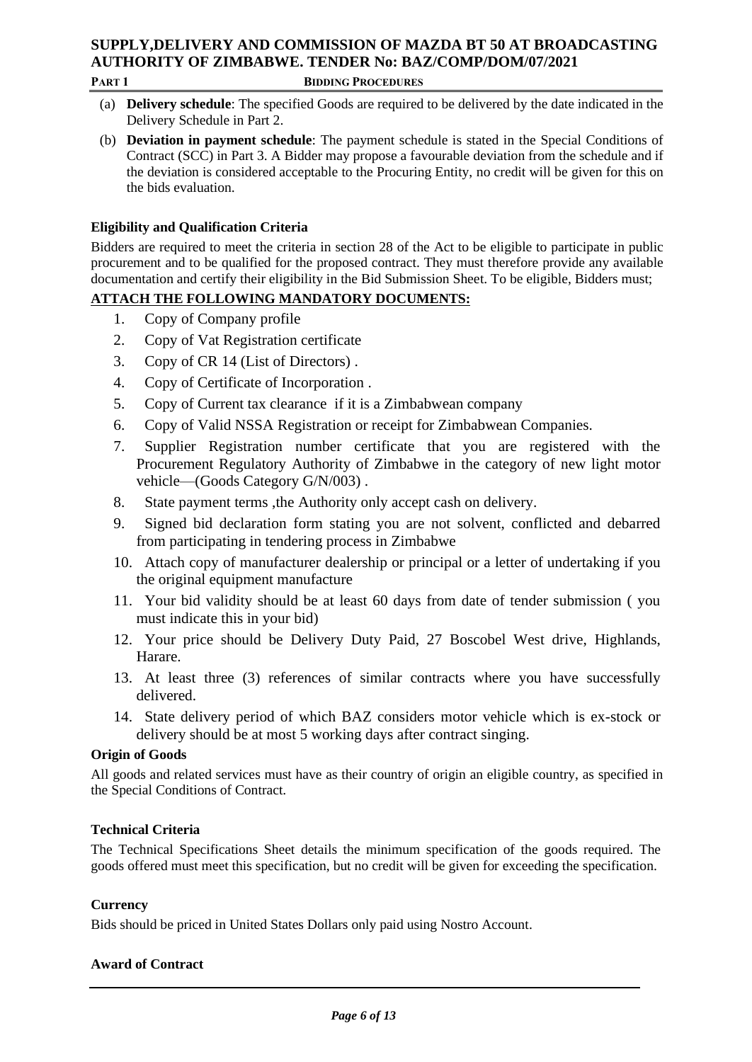# **SUPPLY,DELIVERY AND COMMISSION OF MAZDA BT 50 AT BROADCASTING AUTHORITY OF ZIMBABWE. TENDER No: BAZ/COMP/DOM/07/2021**

#### **PART 1 BIDDING PROCEDURES**

- (a) **Delivery schedule**: The specified Goods are required to be delivered by the date indicated in the Delivery Schedule in Part 2.
- (b) **Deviation in payment schedule**: The payment schedule is stated in the Special Conditions of Contract (SCC) in Part 3. A Bidder may propose a favourable deviation from the schedule and if the deviation is considered acceptable to the Procuring Entity, no credit will be given for this on the bids evaluation.

## **Eligibility and Qualification Criteria**

Bidders are required to meet the criteria in section 28 of the Act to be eligible to participate in public procurement and to be qualified for the proposed contract. They must therefore provide any available documentation and certify their eligibility in the Bid Submission Sheet. To be eligible, Bidders must;

## **ATTACH THE FOLLOWING MANDATORY DOCUMENTS:**

- 1. Copy of Company profile
- 2. Copy of Vat Registration certificate
- 3. Copy of CR 14 (List of Directors) .
- 4. Copy of Certificate of Incorporation .
- 5. Copy of Current tax clearance if it is a Zimbabwean company
- 6. Copy of Valid NSSA Registration or receipt for Zimbabwean Companies.
- 7. Supplier Registration number certificate that you are registered with the Procurement Regulatory Authority of Zimbabwe in the category of new light motor vehicle—(Goods Category G/N/003) .
- 8. State payment terms ,the Authority only accept cash on delivery.
- 9. Signed bid declaration form stating you are not solvent, conflicted and debarred from participating in tendering process in Zimbabwe
- 10. Attach copy of manufacturer dealership or principal or a letter of undertaking if you the original equipment manufacture
- 11. Your bid validity should be at least 60 days from date of tender submission ( you must indicate this in your bid)
- 12. Your price should be Delivery Duty Paid, 27 Boscobel West drive, Highlands, Harare.
- 13. At least three (3) references of similar contracts where you have successfully delivered.
- 14. State delivery period of which BAZ considers motor vehicle which is ex-stock or delivery should be at most 5 working days after contract singing.

### **Origin of Goods**

All goods and related services must have as their country of origin an eligible country, as specified in the Special Conditions of Contract.

### **Technical Criteria**

The Technical Specifications Sheet details the minimum specification of the goods required. The goods offered must meet this specification, but no credit will be given for exceeding the specification.

### **Currency**

Bids should be priced in United States Dollars only paid using Nostro Account.

### **Award of Contract**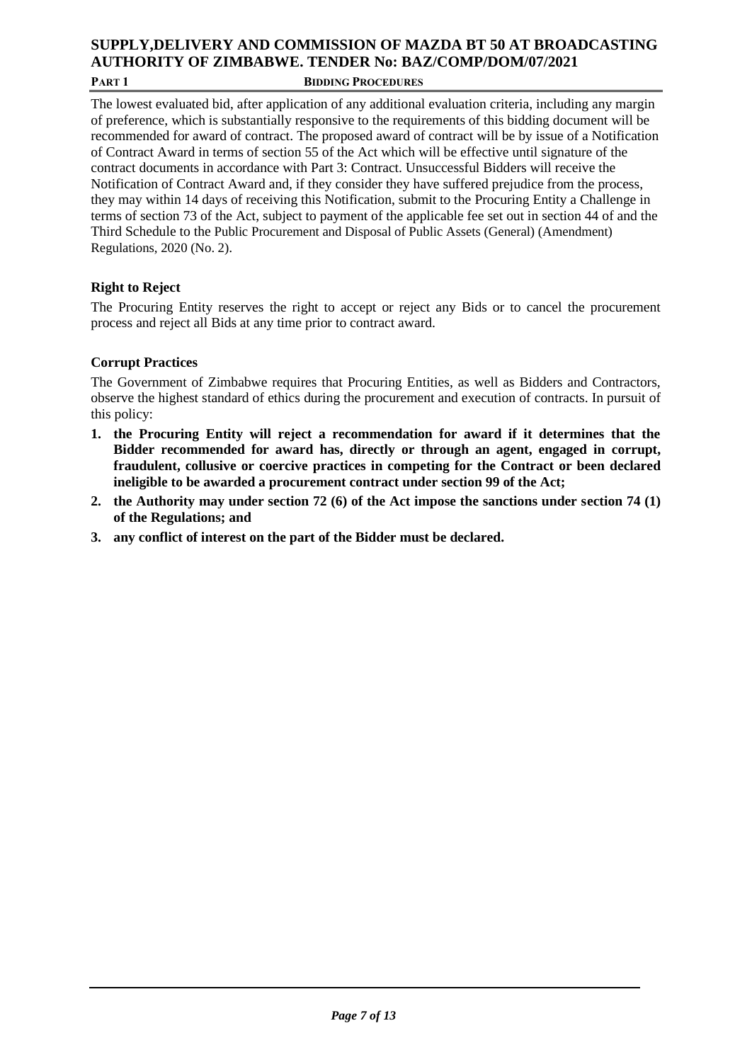### **SUPPLY,DELIVERY AND COMMISSION OF MAZDA BT 50 AT BROADCASTING AUTHORITY OF ZIMBABWE. TENDER No: BAZ/COMP/DOM/07/2021 PART 1 BIDDING PROCEDURES**

The lowest evaluated bid, after application of any additional evaluation criteria, including any margin of preference, which is substantially responsive to the requirements of this bidding document will be recommended for award of contract. The proposed award of contract will be by issue of a Notification of Contract Award in terms of section 55 of the Act which will be effective until signature of the contract documents in accordance with Part 3: Contract. Unsuccessful Bidders will receive the Notification of Contract Award and, if they consider they have suffered prejudice from the process, they may within 14 days of receiving this Notification, submit to the Procuring Entity a Challenge in terms of section 73 of the Act, subject to payment of the applicable fee set out in section 44 of and the Third Schedule to the Public Procurement and Disposal of Public Assets (General) (Amendment) Regulations, 2020 (No. 2).

## **Right to Reject**

The Procuring Entity reserves the right to accept or reject any Bids or to cancel the procurement process and reject all Bids at any time prior to contract award.

### **Corrupt Practices**

The Government of Zimbabwe requires that Procuring Entities, as well as Bidders and Contractors, observe the highest standard of ethics during the procurement and execution of contracts. In pursuit of this policy:

- **1. the Procuring Entity will reject a recommendation for award if it determines that the Bidder recommended for award has, directly or through an agent, engaged in corrupt, fraudulent, collusive or coercive practices in competing for the Contract or been declared ineligible to be awarded a procurement contract under section 99 of the Act;**
- **2. the Authority may under section 72 (6) of the Act impose the sanctions under section 74 (1) of the Regulations; and**
- **3. any conflict of interest on the part of the Bidder must be declared.**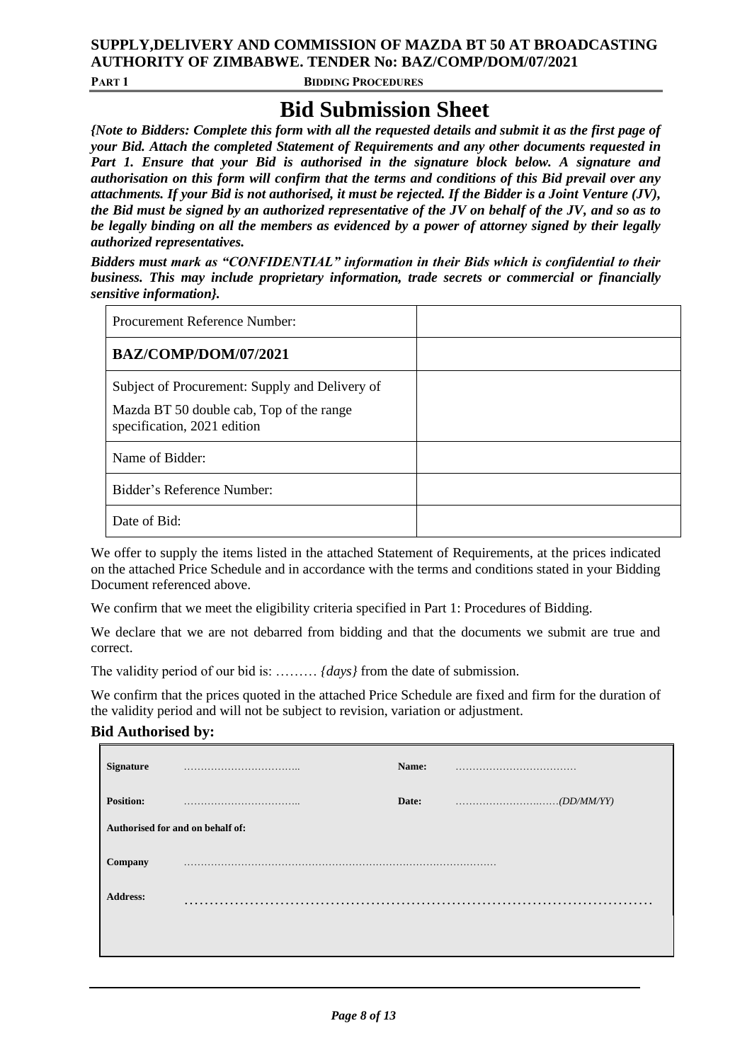### **SUPPLY,DELIVERY AND COMMISSION OF MAZDA BT 50 AT BROADCASTING AUTHORITY OF ZIMBABWE. TENDER No: BAZ/COMP/DOM/07/2021**

**PART 1 BIDDING PROCEDURES**

# **Bid Submission Sheet**

*{Note to Bidders: Complete this form with all the requested details and submit it as the first page of your Bid. Attach the completed Statement of Requirements and any other documents requested in Part 1. Ensure that your Bid is authorised in the signature block below. A signature and authorisation on this form will confirm that the terms and conditions of this Bid prevail over any attachments. If your Bid is not authorised, it must be rejected. If the Bidder is a Joint Venture (JV), the Bid must be signed by an authorized representative of the JV on behalf of the JV, and so as to be legally binding on all the members as evidenced by a power of attorney signed by their legally authorized representatives.* 

*Bidders must mark as "CONFIDENTIAL" information in their Bids which is confidential to their business. This may include proprietary information, trade secrets or commercial or financially sensitive information}.* 

| <b>Procurement Reference Number:</b>                                                                                      |  |
|---------------------------------------------------------------------------------------------------------------------------|--|
| BAZ/COMP/DOM/07/2021                                                                                                      |  |
| Subject of Procurement: Supply and Delivery of<br>Mazda BT 50 double cab, Top of the range<br>specification, 2021 edition |  |
| Name of Bidder:                                                                                                           |  |
| Bidder's Reference Number:                                                                                                |  |
| Date of Bid:                                                                                                              |  |

We offer to supply the items listed in the attached Statement of Requirements, at the prices indicated on the attached Price Schedule and in accordance with the terms and conditions stated in your Bidding Document referenced above.

We confirm that we meet the eligibility criteria specified in Part 1: Procedures of Bidding.

We declare that we are not debarred from bidding and that the documents we submit are true and correct.

The validity period of our bid is: ……… *{days}* from the date of submission.

We confirm that the prices quoted in the attached Price Schedule are fixed and firm for the duration of the validity period and will not be subject to revision, variation or adjustment.

### **Bid Authorised by:**

|                                  | Date: | $\ldots \ldots \ldots \ldots \ldots \ldots \ldots \ldots (DD/MM/YY)$ |
|----------------------------------|-------|----------------------------------------------------------------------|
| Authorised for and on behalf of: |       |                                                                      |
|                                  |       |                                                                      |
| .                                |       |                                                                      |
|                                  |       |                                                                      |
|                                  |       |                                                                      |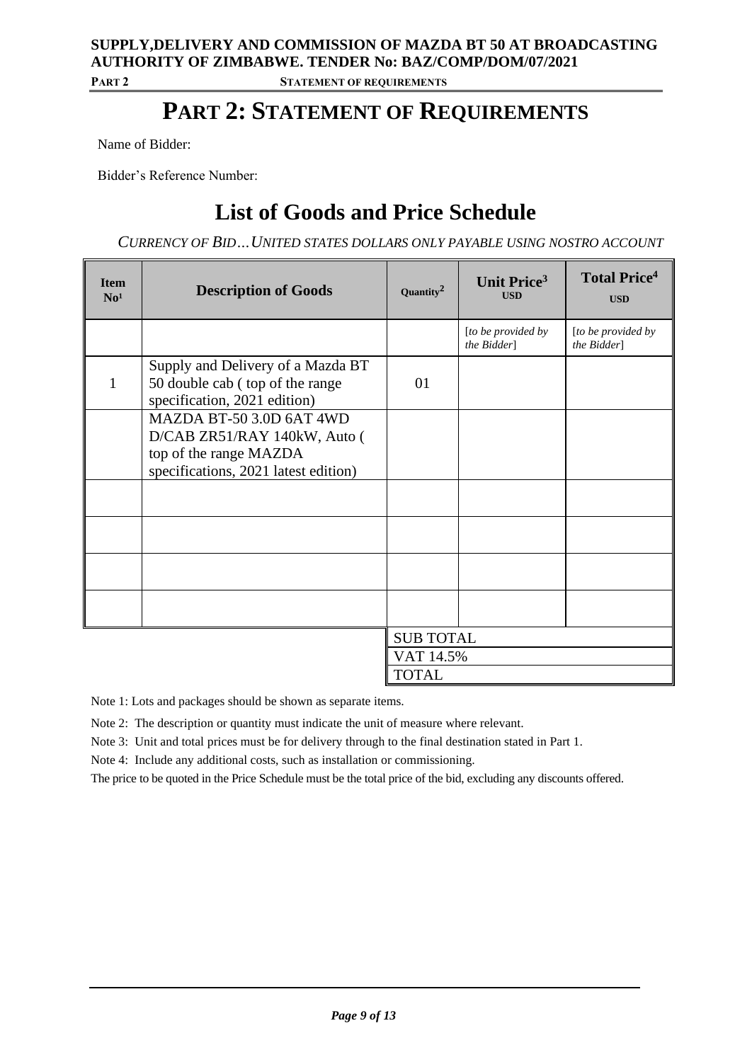### **SUPPLY,DELIVERY AND COMMISSION OF MAZDA BT 50 AT BROADCASTING AUTHORITY OF ZIMBABWE. TENDER No: BAZ/COMP/DOM/07/2021 PART 2 STATEMENT OF REQUIREMENTS**

# **PART 2: STATEMENT OF REQUIREMENTS**

Name of Bidder:

Bidder's Reference Number:

# **List of Goods and Price Schedule**

*CURRENCY OF BID…UNITED STATES DOLLARS ONLY PAYABLE USING NOSTRO ACCOUNT*

| <b>Item</b><br>No <sup>1</sup> | <b>Description of Goods</b>                                                                                                | Quantity <sup>2</sup> | Unit Price <sup>3</sup><br><b>USD</b> | <b>Total Price</b> <sup>4</sup><br><b>USD</b> |
|--------------------------------|----------------------------------------------------------------------------------------------------------------------------|-----------------------|---------------------------------------|-----------------------------------------------|
|                                |                                                                                                                            |                       | [to be provided by]<br>the Bidder]    | [to be provided by<br>the Bidder]             |
| $\mathbf{1}$                   | Supply and Delivery of a Mazda BT<br>50 double cab (top of the range<br>specification, 2021 edition)                       | 01                    |                                       |                                               |
|                                | MAZDA BT-50 3.0D 6AT 4WD<br>D/CAB ZR51/RAY 140kW, Auto (<br>top of the range MAZDA<br>specifications, 2021 latest edition) |                       |                                       |                                               |
|                                |                                                                                                                            |                       |                                       |                                               |
|                                |                                                                                                                            |                       |                                       |                                               |
|                                |                                                                                                                            |                       |                                       |                                               |
|                                |                                                                                                                            |                       |                                       |                                               |
|                                |                                                                                                                            | <b>SUB TOTAL</b>      |                                       |                                               |
|                                |                                                                                                                            | VAT 14.5%             |                                       |                                               |
|                                |                                                                                                                            | <b>TOTAL</b>          |                                       |                                               |

Note 1: Lots and packages should be shown as separate items.

Note 2: The description or quantity must indicate the unit of measure where relevant.

Note 3: Unit and total prices must be for delivery through to the final destination stated in Part 1.

Note 4: Include any additional costs, such as installation or commissioning.

The price to be quoted in the Price Schedule must be the total price of the bid, excluding any discounts offered.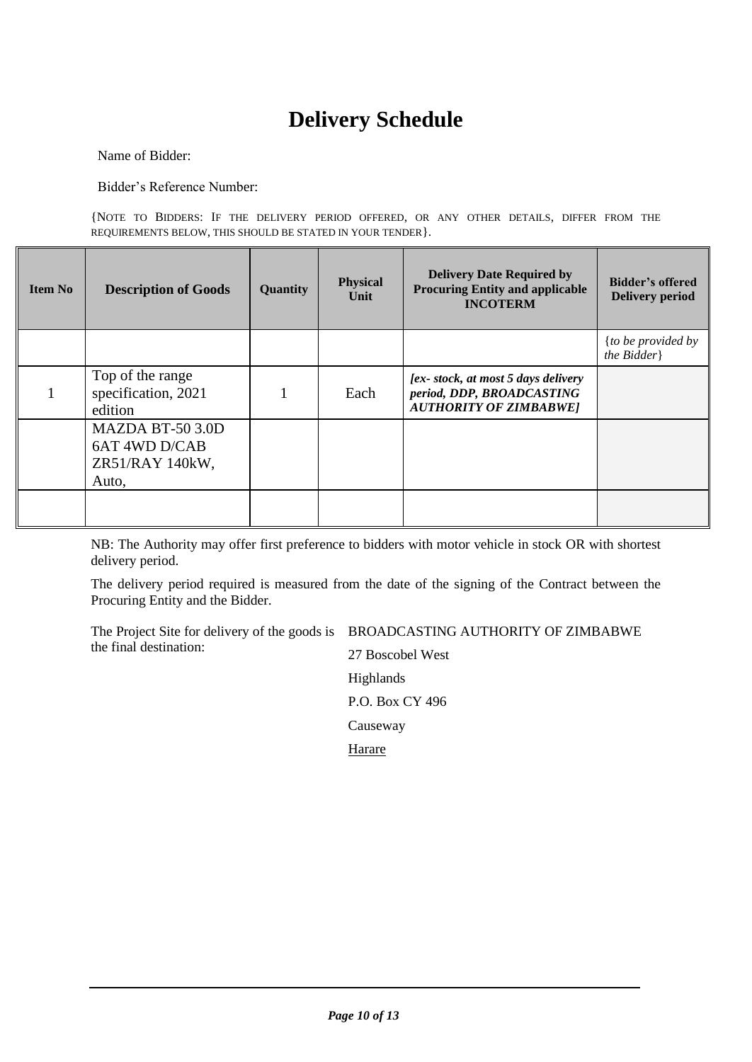# **Delivery Schedule**

Name of Bidder:

Bidder's Reference Number:

{NOTE TO BIDDERS: IF THE DELIVERY PERIOD OFFERED, OR ANY OTHER DETAILS, DIFFER FROM THE REQUIREMENTS BELOW, THIS SHOULD BE STATED IN YOUR TENDER}.

| Item No | <b>Description of Goods</b>                                   | Quantity | <b>Physical</b><br>Unit | <b>Delivery Date Required by</b><br><b>Procuring Entity and applicable</b><br><b>INCOTERM</b>     | <b>Bidder's offered</b><br><b>Delivery period</b> |
|---------|---------------------------------------------------------------|----------|-------------------------|---------------------------------------------------------------------------------------------------|---------------------------------------------------|
|         |                                                               |          |                         |                                                                                                   | {to be provided by<br>the Bidder                  |
|         | Top of the range<br>specification, 2021<br>edition            |          | Each                    | [ex-stock, at most 5 days delivery]<br>period, DDP, BROADCASTING<br><b>AUTHORITY OF ZIMBABWE]</b> |                                                   |
|         | MAZDA BT-50 3.0D<br>6AT 4WD D/CAB<br>ZR51/RAY 140kW,<br>Auto, |          |                         |                                                                                                   |                                                   |
|         |                                                               |          |                         |                                                                                                   |                                                   |

NB: The Authority may offer first preference to bidders with motor vehicle in stock OR with shortest delivery period.

The delivery period required is measured from the date of the signing of the Contract between the Procuring Entity and the Bidder.

The Project Site for delivery of the goods is BROADCASTING AUTHORITY OF ZIMBABWE the final destination:

27 Boscobel West Highlands P.O. Box CY 496 Causeway **Harare**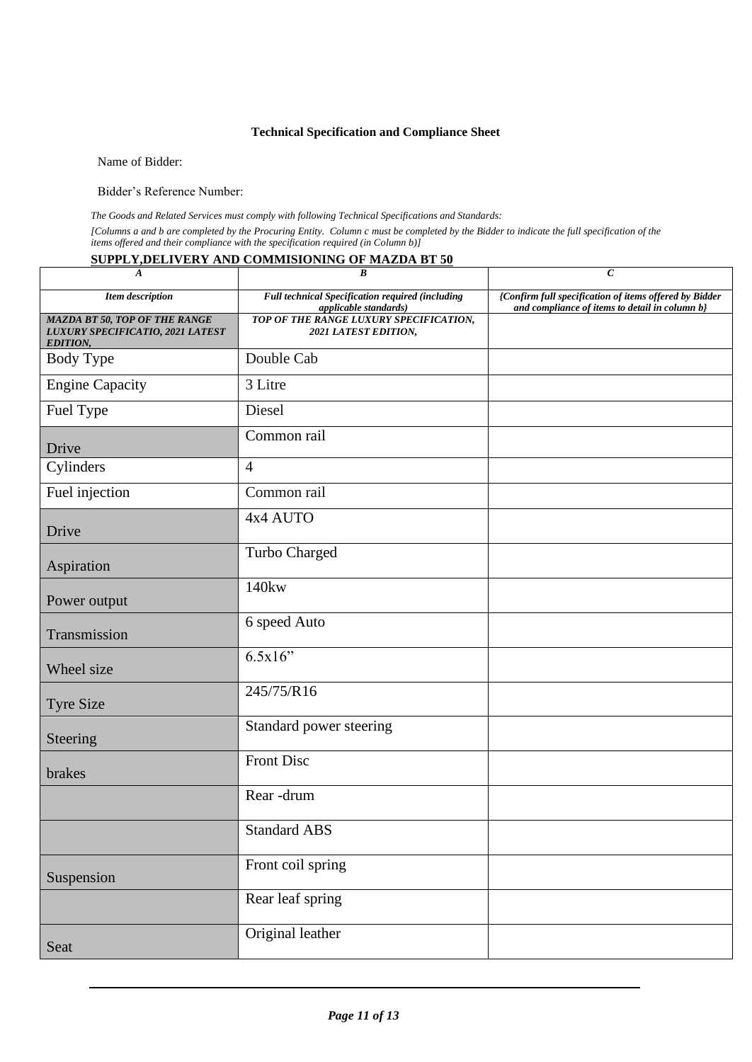### **Technical Specification and Compliance Sheet**

Name of Bidder:

Bidder's Reference Number:

*The Goods and Related Services must comply with following Technical Specifications and Standards:* 

*[Columns a and b are completed by the Procuring Entity. Column c must be completed by the Bidder to indicate the full specification of the items offered and their compliance with the specification required (in Column b)]*

#### **SUPPLY,DELIVERY AND COMMISIONING OF MAZDA BT 50**

| $\boldsymbol{A}$                                                                     | $\pmb{B}$                                                                 | $\boldsymbol{C}$                                                                                         |
|--------------------------------------------------------------------------------------|---------------------------------------------------------------------------|----------------------------------------------------------------------------------------------------------|
| <b>Item</b> description                                                              | Full technical Specification required (including<br>applicable standards) | {Confirm full specification of items offered by Bidder<br>and compliance of items to detail in column b} |
| MAZDA BT 50, TOP OF THE RANGE<br>LUXURY SPECIFICATIO, 2021 LATEST<br><b>EDITION,</b> | TOP OF THE RANGE LUXURY SPECIFICATION,<br>2021 LATEST EDITION,            |                                                                                                          |
| <b>Body Type</b>                                                                     | Double Cab                                                                |                                                                                                          |
| <b>Engine Capacity</b>                                                               | 3 Litre                                                                   |                                                                                                          |
| Fuel Type                                                                            | Diesel                                                                    |                                                                                                          |
| Drive                                                                                | Common rail                                                               |                                                                                                          |
| Cylinders                                                                            | $\overline{4}$                                                            |                                                                                                          |
| Fuel injection                                                                       | Common rail                                                               |                                                                                                          |
| Drive                                                                                | 4x4 AUTO                                                                  |                                                                                                          |
| Aspiration                                                                           | Turbo Charged                                                             |                                                                                                          |
| Power output                                                                         | 140kw                                                                     |                                                                                                          |
| Transmission                                                                         | 6 speed Auto                                                              |                                                                                                          |
| Wheel size                                                                           | 6.5x16"                                                                   |                                                                                                          |
| <b>Tyre Size</b>                                                                     | 245/75/R16                                                                |                                                                                                          |
| Steering                                                                             | Standard power steering                                                   |                                                                                                          |
| brakes                                                                               | <b>Front Disc</b>                                                         |                                                                                                          |
|                                                                                      | Rear-drum                                                                 |                                                                                                          |
|                                                                                      | <b>Standard ABS</b>                                                       |                                                                                                          |
| Suspension                                                                           | Front coil spring                                                         |                                                                                                          |
|                                                                                      | Rear leaf spring                                                          |                                                                                                          |
| Seat                                                                                 | Original leather                                                          |                                                                                                          |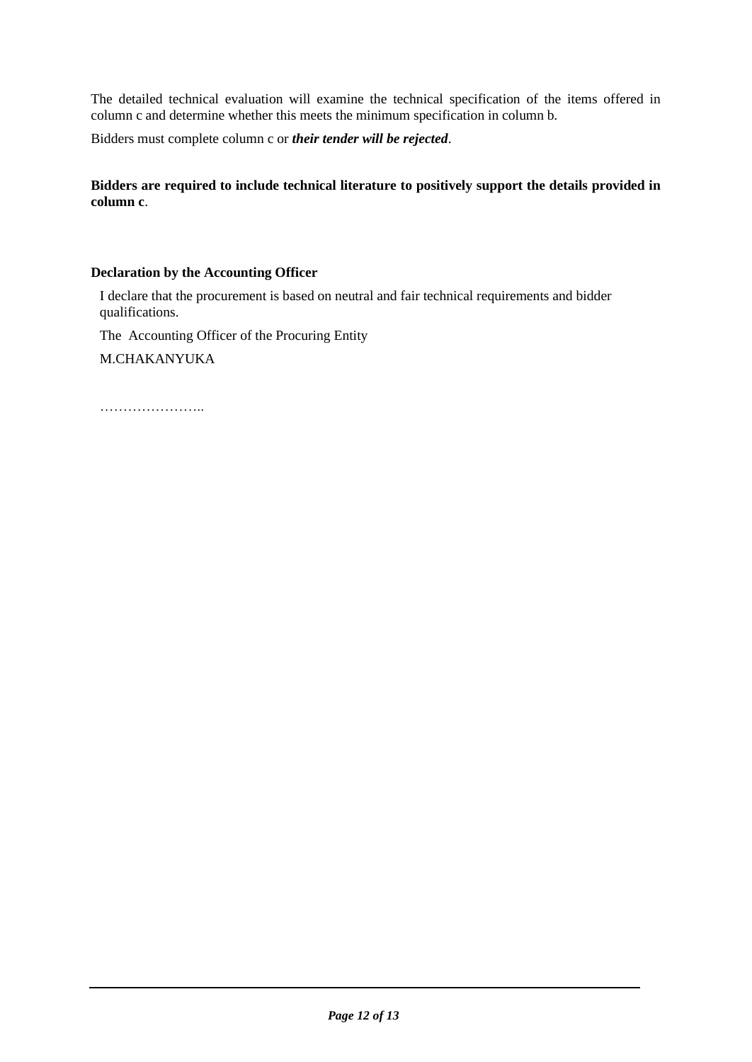The detailed technical evaluation will examine the technical specification of the items offered in column c and determine whether this meets the minimum specification in column b.

Bidders must complete column c or *their tender will be rejected*.

**Bidders are required to include technical literature to positively support the details provided in column c**.

### **Declaration by the Accounting Officer**

I declare that the procurement is based on neutral and fair technical requirements and bidder qualifications.

The Accounting Officer of the Procuring Entity

M.CHAKANYUKA

……………………